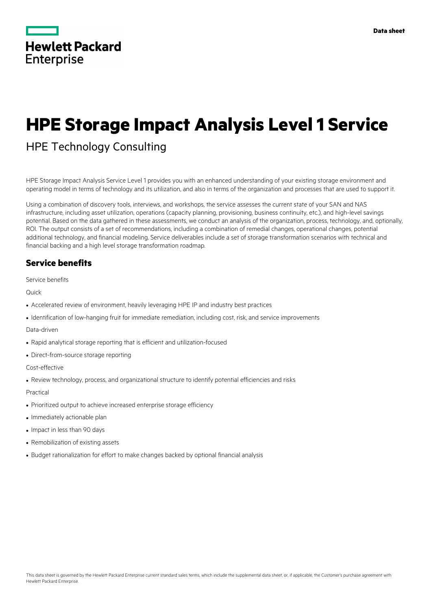

# **HPE Storage Impact Analysis Level 1 Service**

# HPE Technology Consulting

HPE Storage Impact Analysis Service Level 1 provides you with an enhanced understanding of your existing storage environment and operating model in terms of technology and its utilization, and also in terms of the organization and processes that are used to support it.

Using a combination of discovery tools, interviews, and workshops, the service assesses the current state of your SAN and NAS infrastructure, including asset utilization, operations (capacity planning, provisioning, business continuity, etc.), and high-level savings potential. Based on the data gathered in these assessments, we conduct an analysis of the organization, process, technology, and, optionally, ROI. The output consists of a set of recommendations, including a combination of remedial changes, operational changes, potential additional technology, and financial modeling. Service deliverables include a set of storage transformation scenarios with technical and financial backing and a high level storage transformation roadmap.

# **Service benefits**

Service benefits

Quick

- Accelerated review of environment, heavily leveraging HPE IP and industry best practices
- Identification of low-hanging fruit for immediate remediation, including cost, risk, and service improvements

Data-driven

- Rapid analytical storage reporting that is efficient and utilization-focused
- Direct-from-source storage reporting

Cost-effective

• Review technology, process, and organizational structure to identify potential efficiencies and risks

Practical

- Prioritized output to achieve increased enterprise storage efficiency
- Immediately actionable plan
- Impact in less than 90 days
- Remobilization of existing assets
- Budget rationalization for effort to make changes backed by optional financial analysis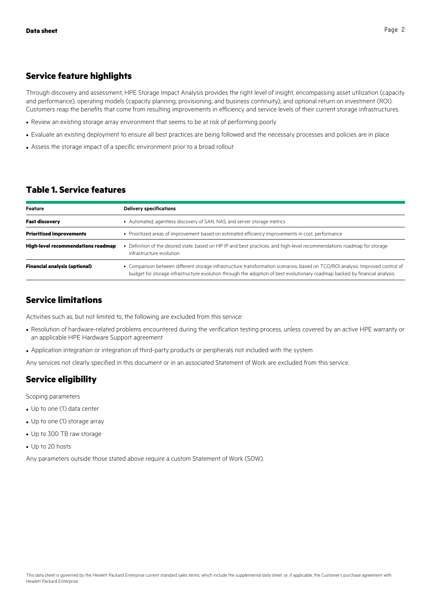#### **Service feature highlights**

Through discovery and assessment, HPE Storage Impact Analysis provides the right level of insight, encompassing asset utilization (capacity and performance), operating models (capacity planning, provisioning, and business continuity), and optional return on investment (ROI). Customers reap the benefits that come from resulting improvements in efficiency and service levels of their current storage infrastructures.

- Review an existing storage array environment that seems to be at risk of performing poorly
- Evaluate an existing deployment to ensure all best practices are being followed and the necessary processes and policies are in place
- Assess the storage impact of a specific environment prior to a broad rollout

## **Table 1. Service features**

| Feature                                   | <b>Delivery specifications</b>                                                                                                                                                                                                                                |
|-------------------------------------------|---------------------------------------------------------------------------------------------------------------------------------------------------------------------------------------------------------------------------------------------------------------|
| <b>Fast discovery</b>                     | • Automated, agentless discovery of SAN, NAS, and server storage metrics                                                                                                                                                                                      |
| <b>Prioritized improvements</b>           | • Prioritized areas of improvement based on estimated efficiency improvements in cost, performance                                                                                                                                                            |
| <b>High-level recommendations roadmap</b> | • Definition of the desired state, based on HP IP and best practices, and high-level recommendations roadmap for storage<br>infrastructure evolution                                                                                                          |
| <b>Financial analysis (optional)</b>      | • Comparison between different storage infrastructure transformation scenarios, based on TCO/ROI analysis. Improved control of<br>budget for storage infrastructure evolution through the adoption of best evolutionary roadmap backed by financial analysis. |

## **Service limitations**

Activities such as, but not limited to, the following are excluded from this service:

- Resolution of hardware-related problems encountered during the verification testing process, unless covered by an active HPE warranty or an applicable HPE Hardware Support agreement
- Application integration or integration of third-party products or peripherals not included with the system

Any services not clearly specified in this document or in an associated Statement of Work are excluded from this service.

# **Service eligibility**

Scoping parameters

- Up to one (1) data center
- Up to one (1) storage array
- Up to 300 TB raw storage
- Up to 20 hosts

Any parameters outside those stated above require a custom Statement of Work (SOW).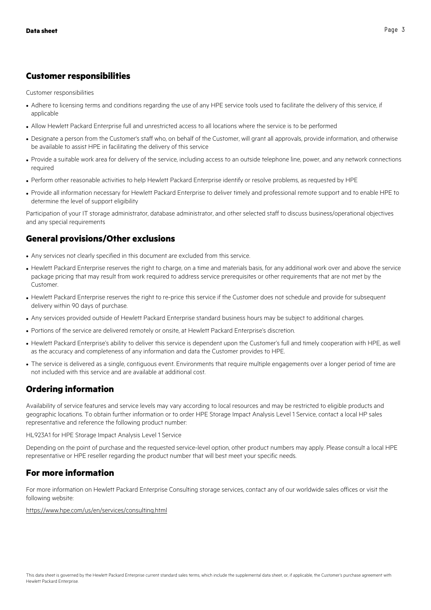#### **Customer responsibilities**

Customer responsibilities

- Adhere to licensing terms and conditions regarding the use of any HPE service tools used to facilitate the delivery of this service, if applicable
- Allow Hewlett Packard Enterprise full and unrestricted access to all locations where the service is to be performed
- Designate a person from the Customer's staff who, on behalf of the Customer, will grant all approvals, provide information, and otherwise be available to assist HPE in facilitating the delivery of this service
- Provide a suitable work area for delivery of the service, including access to an outside telephone line, power, and any network connections required
- Perform other reasonable activities to help Hewlett Packard Enterprise identify or resolve problems, as requested by HPE
- Provide all information necessary for Hewlett Packard Enterprise to deliver timely and professional remote support and to enable HPE to determine the level of support eligibility

Participation of your IT storage administrator, database administrator, and other selected staff to discuss business/operational objectives and any special requirements

## **General provisions/Other exclusions**

- Any services not clearly specified in this document are excluded from this service.
- Hewlett Packard Enterprise reserves the right to charge, on a time and materials basis, for any additional work over and above the service package pricing that may result from work required to address service prerequisites or other requirements that are not met by the Customer.
- Hewlett Packard Enterprise reserves the right to re-price this service if the Customer does not schedule and provide for subsequent delivery within 90 days of purchase.
- Any services provided outside of Hewlett Packard Enterprise standard business hours may be subject to additional charges.
- Portions of the service are delivered remotely or onsite, at Hewlett Packard Enterprise's discretion.
- Hewlett Packard Enterprise's ability to deliver this service is dependent upon the Customer's full and timely cooperation with HPE, as well as the accuracy and completeness of any information and data the Customer provides to HPE.
- The service is delivered as a single, contiguous event. Environments that require multiple engagements over a longer period of time are not included with this service and are available at additional cost.

# **Ordering information**

Availability of service features and service levels may vary according to local resources and may be restricted to eligible products and geographic locations. To obtain further information or to order HPE Storage Impact Analysis Level 1 Service, contact a local HP sales representative and reference the following product number:

HL923A1 for HPE Storage Impact Analysis Level 1 Service

Depending on the point of purchase and the requested service-level option, other product numbers may apply. Please consult a local HPE representative or HPE reseller regarding the product number that will best meet your specific needs.

## **For more information**

For more information on Hewlett Packard Enterprise Consulting storage services, contact any of our worldwide sales offices or visit the following website:

https://www.hpe.com/us/en/services/consulting.html